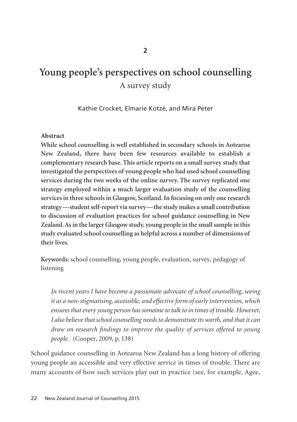# **Young people's perspectives on school counselling**  A survey study

Kathie Crocket, Elmarie Kotzé, and Mira Peter

#### **Abstract**

**While school counselling is well established in secondary schools in Aotearoa New Zealand, there have been few resources available to establish a complementary research base. This article reports on a small survey study that investigated the perspectives of young people who had used school counselling services during the two weeks of the online survey. The survey replicated one strategy employed within a much larger evaluation study of the counselling services in three schools in Glasgow, Scotland. In focusing on only one research strategy***—***student self-report via survey—the study makes a small contribution to discussion of evaluation practices for school guidance counselling in New Zealand. As in the larger Glasgow study, young people in the small sample in this study evaluated school counselling as helpful across a number of dimensions of their lives.** 

**Keywords:** school counselling, young people, evaluation, survey, pedagogy of listening

*In recent years I have become a passionate advocate of school counselling, seeing it as a non-stigmatising, accessible, and effective form of early intervention, which ensures that every young person has someone to talk to in times of trouble. However, I also believe that school counselling needs to demonstrate its worth, and that it can draw on research findings to improve the quality of services offered to young people.* (Cooper, 2009, p. 138)

School guidance counselling in Aotearoa New Zealand has a long history of offering young people an accessible and very effective service in times of trouble. There are many accounts of how such services play out in practice (see, for example, Agee,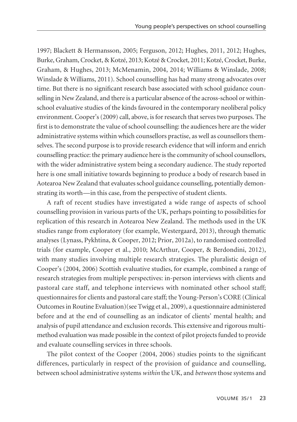1997; Blackett & Hermansson, 2005; Ferguson, 2012; Hughes, 2011, 2012; Hughes, Burke, Graham, Crocket, & Kotzé, 2013; Kotzé & Crocket, 2011; Kotzé, Crocket, Burke, Graham, & Hughes, 2013; McMenamin, 2004, 2014; Williams & Winslade, 2008; Winslade & Williams, 2011). School counselling has had many strong advocates over time. But there is no significant research base associated with school guidance counselling in New Zealand, and there is a particular absence of the across-school or withinschool evaluative studies of the kinds favoured in the contemporary neoliberal policy environment. Cooper's (2009) call, above, is for research that serves two purposes. The first is to demonstrate the value of school counselling: the audiences here are the wider administrative systems within which counsellors practise, as well as counsellors themselves. The second purpose is to provide research evidence that will inform and enrich counselling practice: the primary audience here is the community of school counsellors, with the wider administrative system being a secondary audience. The study reported here is one small initiative towards beginning to produce a body of research based in Aotearoa New Zealand that evaluates school guidance counselling, potentially demonstrating its worth—in this case, from the perspective of student clients.

A raft of recent studies have investigated a wide range of aspects of school counselling provision in various parts of the UK, perhaps pointing to possibilities for replication of this research in Aotearoa New Zealand. The methods used in the UK studies range from exploratory (for example, Westergaard, 2013), through thematic analyses (Lynass, Pykhtina, & Cooper, 2012; Prior, 2012a), to randomised controlled trials (for example, Cooper et al., 2010; McArthur, Cooper, & Berdondini, 2012), with many studies involving multiple research strategies. The pluralistic design of Cooper's (2004, 2006) Scottish evaluative studies, for example, combined a range of research strategies from multiple perspectives: in-person interviews with clients and pastoral care staff, and telephone interviews with nominated other school staff; questionnaires for clients and pastoral care staff; the Young-Person's CORE (Clinical Outcomes in Routine Evaluation)(see Twigg et al., 2009), a questionnaire administered before and at the end of counselling as an indicator of clients' mental health; and analysis of pupil attendance and exclusion records. This extensive and rigorous multimethod evaluation was made possible in the context of pilot projects funded to provide and evaluate counselling services in three schools.

The pilot context of the Cooper (2004, 2006) studies points to the significant differences, particularly in respect of the provision of guidance and counselling, between school administrative systems *within* the UK, and *between* those systems and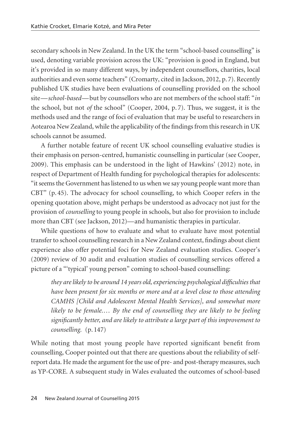secondary schools in New Zealand. In the UK the term "school-based counselling" is used, denoting variable provision across the UK: "provision is good in England, but it's provided in so many different ways, by independent counsellors, charities, local authorities and even some teachers" (Cromarty, cited in Jackson, 2012, p. 7). Recently published UK studies have been evaluations of counselling provided on the school site—*school-based*—but by counsellors who are not members of the school staff: "*in* the school, but not *of* the school" (Cooper, 2004, p. 7). Thus, we suggest, it is the methods used and the range of foci of evaluation that may be useful to researchers in Aotearoa New Zealand, while the applicability of the findings from this research in UK schools cannot be assumed.

A further notable feature of recent UK school counselling evaluative studies is their emphasis on person-centred, humanistic counselling in particular (see Cooper, 2009). This emphasis can be understood in the light of Hawkins' (2012) note, in respect of Department of Health funding for psychological therapies for adolescents: "it seems the Government has listened to us when we say young people want more than CBT" (p. 45). The advocacy for school counselling, to which Cooper refers in the opening quotation above, might perhaps be understood as advocacy not just for the provision of *counselling* to young people in schools, but also for provision to include more than CBT (see Jackson, 2012)—and humanistic therapies in particular.

While questions of how to evaluate and what to evaluate have most potential transfer to school counselling research in a New Zealand context, findings about client experience also offer potential foci for New Zealand evaluation studies. Cooper's (2009) review of 30 audit and evaluation studies of counselling services offered a picture of a "'typical' young person" coming to school-based counselling:

*they are likely to be around 14 years old, experiencing psychological difficulties that have been present for six months or more and at a level close to those attending CAMHS [Child and Adolescent Mental Health Services], and somewhat more likely to be female.… By the end of counselling they are likely to be feeling significantly better, and are likely to attribute a large part of this improvement to counselling.* (p. 147)

While noting that most young people have reported significant benefit from counselling, Cooper pointed out that there are questions about the reliability of selfreport data. He made the argument for the use of pre- and post-therapy measures, such as YP-CORE. A subsequent study in Wales evaluated the outcomes of school-based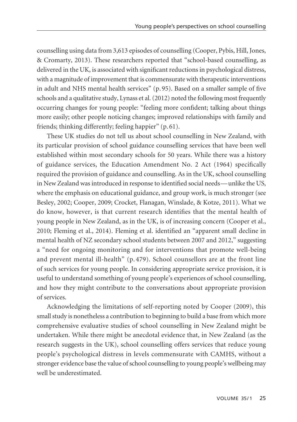counselling using data from 3,613 episodes of counselling (Cooper, Pybis, Hill, Jones, & Cromarty, 2013). These researchers reported that "school-based counselling, as delivered in the UK, is associated with significant reductions in psychological distress, with a magnitude of improvement that is commensurate with therapeutic interventions in adult and NHS mental health services" (p. 95). Based on a smaller sample of five schools and a qualitative study, Lynass et al. (2012) noted the following most frequently occurring changes for young people: "feeling more confident; talking about things more easily; other people noticing changes; improved relationships with family and friends; thinking differently; feeling happier" (p. 61).

These UK studies do not tell us about school counselling in New Zealand, with its particular provision of school guidance counselling services that have been well established within most secondary schools for 50 years. While there was a history of guidance services, the Education Amendment No. 2 Act (1964) specifically required the provision of guidance and counselling. As in the UK, school counselling in New Zealand was introduced in response to identified social needs—unlike the US, where the emphasis on educational guidance, and group work, is much stronger (see Besley, 2002; Cooper, 2009; Crocket, Flanagan, Winslade, & Kotze, 2011). What we do know, however, is that current research identifies that the mental health of young people in New Zealand, as in the UK, is of increasing concern (Cooper et al., 2010; Fleming et al., 2014). Fleming et al. identified an "apparent small decline in mental health of NZ secondary school students between 2007 and 2012," suggesting a "need for ongoing monitoring and for interventions that promote well-being and prevent mental ill-health" (p. 479). School counsellors are at the front line of such services for young people. In considering appropriate service provision, it is useful to understand something of young people's experiences of school counselling, and how they might contribute to the conversations about appropriate provision of services.

Acknowledging the limitations of self-reporting noted by Cooper (2009), this small study is nonetheless a contribution to beginning to build a base from which more comprehensive evaluative studies of school counselling in New Zealand might be undertaken. While there might be anecdotal evidence that, in New Zealand (as the research suggests in the UK), school counselling offers services that reduce young people's psychological distress in levels commensurate with CAMHS, without a stronger evidence base the value of school counselling to young people's wellbeing may well be underestimated.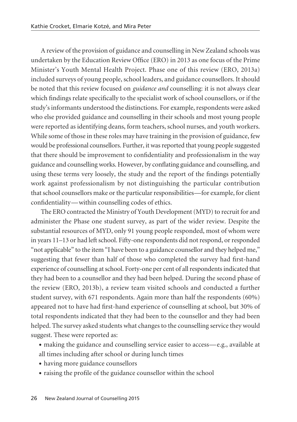A review of the provision of guidance and counselling in New Zealand schools was undertaken by the Education Review Office (ERO) in 2013 as one focus of the Prime Minister's Youth Mental Health Project. Phase one of this review (ERO, 2013a) included surveys of young people, school leaders, and guidance counsellors. It should be noted that this review focused on *guidance and* counselling: it is not always clear which findings relate specifically to the specialist work of school counsellors, or if the study's informants understood the distinctions. For example, respondents were asked who else provided guidance and counselling in their schools and most young people were reported as identifying deans, form teachers, school nurses, and youth workers. While some of those in these roles may have training in the provision of guidance, few would be professional counsellors. Further, it was reported that young people suggested that there should be improvement to confidentiality and professionalism in the way guidance and counselling works. However, by conflating guidance and counselling, and using these terms very loosely, the study and the report of the findings potentially work against professionalism by not distinguishing the particular contribution that school counsellors make or the particular responsibilities—for example, for client confidentiality—within counselling codes of ethics.

The ERO contracted the Ministry of Youth Development (MYD) to recruit for and administer the Phase one student survey, as part of the wider review. Despite the substantial resources of MYD, only 91 young people responded, most of whom were in years 11–13 or had left school. Fifty-one respondents did not respond, or responded "not applicable" to the item "I have been to a guidance counsellor and they helped me," suggesting that fewer than half of those who completed the survey had first-hand experience of counselling at school. Forty-one per cent of all respondents indicated that they had been to a counsellor and they had been helped. During the second phase of the review (ERO, 2013b), a review team visited schools and conducted a further student survey, with 671 respondents. Again more than half the respondents (60%) appeared not to have had first-hand experience of counselling at school, but 30% of total respondents indicated that they had been to the counsellor and they had been helped. The survey asked students what changes to the counselling service they would suggest. These were reported as:

- making the guidance and counselling service easier to access—e.g., available at all times including after school or during lunch times
- having more guidance counsellors
- raising the profile of the guidance counsellor within the school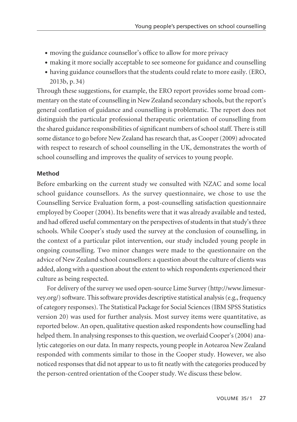- moving the guidance counsellor's office to allow for more privacy
- making it more socially acceptable to see someone for guidance and counselling
- having guidance counsellors that the students could relate to more easily. (ERO, 2013b, p. 34)

Through these suggestions, for example, the ERO report provides some broad commentary on the state of counselling in New Zealand secondary schools, but the report's general conflation of guidance and counselling is problematic. The report does not distinguish the particular professional therapeutic orientation of counselling from the shared guidance responsibilities of significant numbers of school staff. There is still some distance to go before New Zealand has research that, as Cooper (2009) advocated with respect to research of school counselling in the UK, demonstrates the worth of school counselling and improves the quality of services to young people.

## **Method**

Before embarking on the current study we consulted with NZAC and some local school guidance counsellors. As the survey questionnaire, we chose to use the Counselling Service Evaluation form, a post-counselling satisfaction questionnaire employed by Cooper (2004). Its benefits were that it was already available and tested, and had offered useful commentary on the perspectives of students in that study's three schools. While Cooper's study used the survey at the conclusion of counselling, in the context of a particular pilot intervention, our study included young people in ongoing counselling. Two minor changes were made to the questionnaire on the advice of New Zealand school counsellors: a question about the culture of clients was added, along with a question about the extent to which respondents experienced their culture as being respected.

For delivery of the survey we used open-source Lime Survey (http://www. limesurvey.org/) software. This software provides descriptive statistical analysis (e.g., frequency of category responses). The Statistical Package for Social Sciences (IBM SPSS Statistics version 20) was used for further analysis. Most survey items were quantitative, as reported below. An open, qualitative question asked respondents how counselling had helped them. In analysing responses to this question, we overlaid Cooper's (2004) analytic categories on our data. In many respects, young people in Aotearoa New Zealand responded with comments similar to those in the Cooper study. However, we also noticed responses that did not appear to us to fit neatly with the categories produced by the person-centred orientation of the Cooper study. We discuss these below.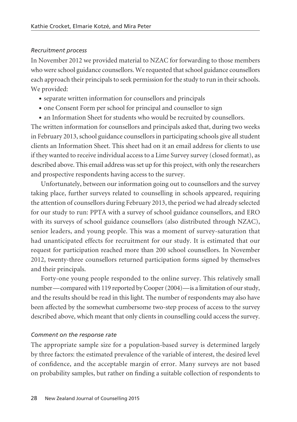#### *Recruitment process*

In November 2012 we provided material to NZAC for forwarding to those members who were school guidance counsellors. We requested that school guidance counsellors each approach their principals to seek permission for the study to run in their schools. We provided:

- separate written information for counsellors and principals
- one Consent Form per school for principal and counsellor to sign
- an Information Sheet for students who would be recruited by counsellors.

The written information for counsellors and principals asked that, during two weeks in February 2013, school guidance counsellors in participating schools give all student clients an Information Sheet. This sheet had on it an email address for clients to use if they wanted to receive individual access to a Lime Survey survey (closed format), as described above. This email address was set up for this project, with only the researchers and prospective respondents having access to the survey.

Unfortunately, between our information going out to counsellors and the survey taking place, further surveys related to counselling in schools appeared, requiring the attention of counsellors during February 2013, the period we had already selected for our study to run: PPTA with a survey of school guidance counsellors, and ERO with its surveys of school guidance counsellors (also distributed through NZAC), senior leaders, and young people. This was a moment of survey-saturation that had unanticipated effects for recruitment for our study. It is estimated that our request for participation reached more than 200 school counsellors. In November 2012, twenty-three counsellors returned participation forms signed by themselves and their principals.

Forty-one young people responded to the online survey. This relatively small number—compared with 119 reported by Cooper (2004)—is a limitation of our study, and the results should be read in this light. The number of respondents may also have been affected by the somewhat cumbersome two-step process of access to the survey described above, which meant that only clients in counselling could access the survey.

## *Comment on the response rate*

The appropriate sample size for a population-based survey is determined largely by three factors: the estimated prevalence of the variable of interest, the desired level of confidence, and the acceptable margin of error. Many surveys are not based on probability samples, but rather on finding a suitable collection of respondents to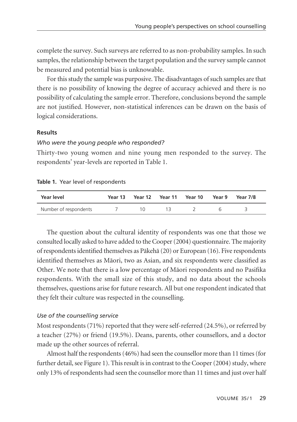complete the survey. Such surveys are referred to as non-probability samples. In such samples, the relationship between the target population and the survey sample cannot be measured and potential bias is unknowable.

For this study the sample was purposive. The disadvantages of such samples are that there is no possibility of knowing the degree of accuracy achieved and there is no possibility of calculating the sample error. Therefore, conclusions beyond the sample are not justified. However, non-statistical inferences can be drawn on the basis of logical considerations.

#### **Results**

#### *Who were the young people who responded?*

Thirty-two young women and nine young men responded to the survey. The respondents' year-levels are reported in Table 1.

#### **Table 1.** Year level of respondents

| Year level            | Year 13 | Year 12 Year 11 Year 10 | Year 9 | Year 7/8 |  |
|-----------------------|---------|-------------------------|--------|----------|--|
| Number of respondents |         |                         |        |          |  |

The question about the cultural identity of respondents was one that those we consulted locally asked to have added to the Cooper (2004) questionnaire. The majority of respondents identified themselves as Päkehä (20) or European (16). Five respondents identified themselves as Mäori, two as Asian, and six respondents were classified as Other. We note that there is a low percentage of Mäori respondents and no Pasifika respondents. With the small size of this study, and no data about the schools themselves, questions arise for future research. All but one respondent indicated that they felt their culture was respected in the counselling.

#### *Use of the counselling service*

Most respondents (71%) reported that they were self-referred (24.5%), or referred by a teacher (27%) or friend (19.5%). Deans, parents, other counsellors, and a doctor made up the other sources of referral.

Almost half the respondents (46%) had seen the counsellor more than 11 times (for further detail, see Figure 1). This result is in contrast to the Cooper (2004) study, where only 13% of respondents had seen the counsellor more than 11 times and just over half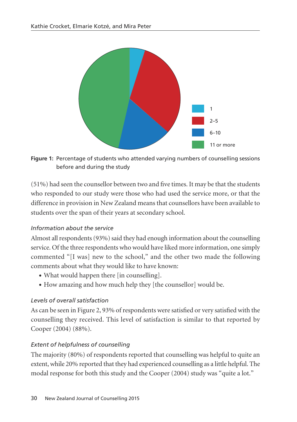

**Figure 1:** Percentage of students who attended varying numbers of counselling sessions before and during the study

(51%) had seen the counsellor between two and five times. It may be that the students who responded to our study were those who had used the service more, or that the difference in provision in New Zealand means that counsellors have been available to students over the span of their years at secondary school.

## *Information about the service*

Almost all respondents (93%) said they had enough information about the counselling service. Of the three respondents who would have liked more information, one simply commented "[I was] new to the school," and the other two made the following comments about what they would like to have known:

- What would happen there [in counselling].
- How amazing and how much help they [the counsellor] would be.

# *Levels of overall satisfaction*

As can be seen in Figure 2, 93% of respondents were satisfied or very satisfied with the counselling they received. This level of satisfaction is similar to that reported by Cooper (2004) (88%).

# *Extent of helpfulness of counselling*

The majority (80%) of respondents reported that counselling was helpful to quite an extent, while 20% reported that they had experienced counselling as a little helpful. The modal response for both this study and the Cooper (2004) study was "quite a lot."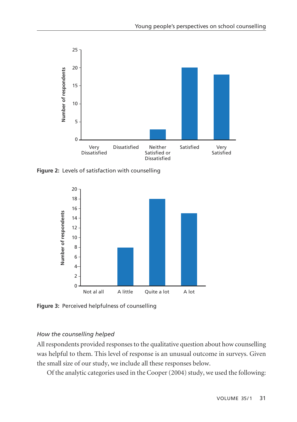

**Figure 2:** Levels of satisfaction with counselling



**Figure 3:** Perceived helpfulness of counselling

## *How the counselling helped*

All respondents provided responses to the qualitative question about how counselling was helpful to them. This level of response is an unusual outcome in surveys. Given the small size of our study, we include all these responses below.

Of the analytic categories used in the Cooper (2004) study, we used the following: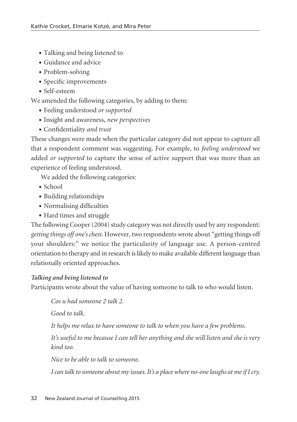- Talking and being listened to
- Guidance and advice
- Problem-solving
- Specific improvements
- Self-esteem

We amended the following categories, by adding to them:

- Feeling understood *or supported*
- Insight and awareness, *new perspectives*
- Confidentiality *and trust*

These changes were made when the particular category did not appear to capture all that a respondent comment was suggesting. For example, to *feeling understood* we added *or supported* to capture the sense of active support that was more than an experience of feeling understood.

We added the following categories:

- School
- Building relationships
- Normalising difficulties
- Hard times and struggle

The following Cooper (2004) study category was not directly used by any respondent: *getting things off one's chest*. However, two respondents wrote about "getting things off your shoulders:" we notice the particularity of language use. A person-centred orientation to therapy and in research is likely to make available different language than relationally oriented approaches.

# *Talking and being listened to*

Participants wrote about the value of having someone to talk to who would listen.

*Cos u had someone 2 talk 2.*

*Good to talk.*

*It helps me relax to have someone to talk to when you have a few problems.*

*It's useful to me because I can tell her anything and she will listen and she is very kind too.*

*Nice to be able to talk to someone.* 

*I can talk to someone about my issues. It's a place where no-one laughs at me if I cry.*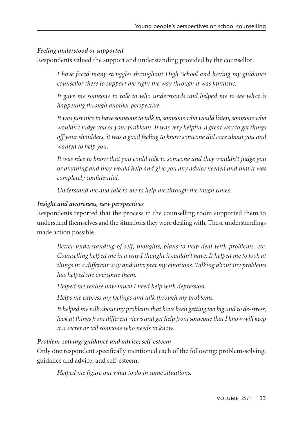## *Feeling understood or supported*

Respondents valued the support and understanding provided by the counsellor.

*I have faced many struggles throughout High School and having my guidance counsellor there to support me right the way through it was fantastic.*

*It gave me someone to talk to who understands and helped me to see what is happening through another perspective.*

*It was just nice to have someone to talk to, someone who would listen, someone who wouldn't judge you or your problems. It was very helpful, a great way to get things off your shoulders, it was a good feeling to know someone did care about you and wanted to help you.*

*It was nice to know that you could talk to someone and they wouldn't judge you or anything and they would help and give you any advice needed and that it was completely confidential.*

*Understand me and talk to me to help me through the tough times.* 

## *Insight and awareness, new perspectives*

Respondents reported that the process in the counselling room supported them to understand themselves and the situations they were dealing with. These understandings made action possible.

*Better understanding of self, thoughts, plans to help deal with problems, etc. Counselling helped me in a way I thought it couldn't have. It helped me to look at things in a different way and interpret my emotions. Talking about my problems has helped me overcome them.*

*Helped me realise how much I need help with depression.*

*Helps me express my feelings and talk through my problems.*

*It helped me talk about my problems that have been getting too big and to de-stress, look at things from different views and get help from someone that I know will keep it a secret or tell someone who needs to know.*

## *Problem-solving; guidance and advice; self-esteem*

Only one respondent specifically mentioned each of the following: problem-solving; guidance and advice; and self-esteem.

*Helped me figure out what to do in some situations.*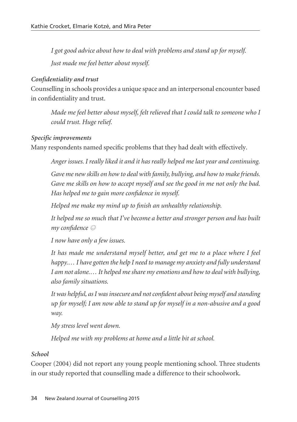*I got good advice about how to deal with problems and stand up for myself. Just made me feel better about myself.*

## *Confidentiality and trust*

Counselling in schools provides a unique space and an interpersonal encounter based in confidentiality and trust.

*Made me feel better about myself, felt relieved that I could talk to someone who I could trust. Huge relief.*

## *Specific improvements*

Many respondents named specific problems that they had dealt with effectively.

*Anger issues. I really liked it and it has really helped me last year and continuing.*

*Gave me new skills on how to deal with family, bullying, and how to make friends. Gave me skills on how to accept myself and see the good in me not only the bad. Has helped me to gain more confidence in myself.*

*Helped me make my mind up to finish an unhealthy relationship.*

*It helped me so much that I've become a better and stronger person and has built my confidence*  $\odot$ 

*I now have only a few issues.*

*It has made me understand myself better, and get me to a place where I feel happy.… I have gotten the help I need to manage my anxiety and fully understand I am not alone.… It helped me share my emotions and how to deal with bullying, also family situations.*

*It was helpful, as I was insecure and not confident about being myself and standing up for myself; I am now able to stand up for myself in a non-abusive and a good way.*

*My stress level went down.*

*Helped me with my problems at home and a little bit at school.*

# *School*

Cooper (2004) did not report any young people mentioning school. Three students in our study reported that counselling made a difference to their schoolwork.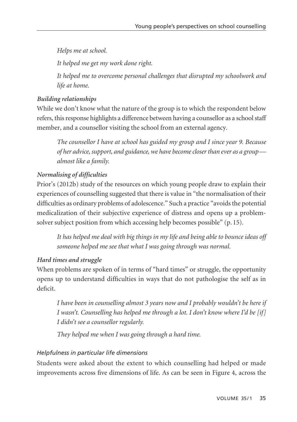*Helps me at school.*

*It helped me get my work done right.*

*It helped me to overcome personal challenges that disrupted my schoolwork and life at home.*

# *Building relationships*

While we don't know what the nature of the group is to which the respondent below refers, this response highlights a difference between having a counsellor as a school staff member, and a counsellor visiting the school from an external agency.

*The counsellor I have at school has guided my group and I since year 9. Because of her advice, support, and guidance, we have become closer than ever as a group almost like a family.* 

# *Normalising of difficulties*

Prior's (2012b) study of the resources on which young people draw to explain their experiences of counselling suggested that there is value in "the normalisation of their difficulties as ordinary problems of adolescence." Such a practice "avoids the potential medicalization of their subjective experience of distress and opens up a problemsolver subject position from which accessing help becomes possible" (p. 15).

*It has helped me deal with big things in my life and being able to bounce ideas off someone helped me see that what I was going through was normal.*

# *Hard times and struggle*

When problems are spoken of in terms of "hard times" or struggle, the opportunity opens up to understand difficulties in ways that do not pathologise the self as in deficit.

*I have been in counselling almost 3 years now and I probably wouldn't be here if I wasn't. Counselling has helped me through a lot. I don't know where I'd be [if] I didn't see a counsellor regularly.*

*They helped me when I was going through a hard time.*

# *Helpfulness in particular life dimensions*

Students were asked about the extent to which counselling had helped or made improvements across five dimensions of life. As can be seen in Figure 4, across the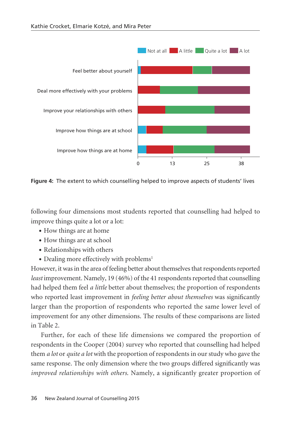

**Figure 4:** The extent to which counselling helped to improve aspects of students' lives

following four dimensions most students reported that counselling had helped to improve things quite a lot or a lot:

- How things are at home
- How things are at school
- Relationships with others
- Dealing more effectively with problems<sup>1</sup>

However, it was in the area of feeling better about themselves that respondents reported *least* improvement. Namely, 19 (46%) of the 41 respondents reported that counselling had helped them feel *a little* better about themselves; the proportion of respondents who reported least improvement in *feeling better about themselves* was significantly larger than the proportion of respondents who reported the same lower level of improvement for any other dimensions. The results of these comparisons are listed in Table 2.

Further, for each of these life dimensions we compared the proportion of respondents in the Cooper (2004) survey who reported that counselling had helped them *a lot* or *quite a lot* with the proportion of respondents in our study who gave the same response. The only dimension where the two groups differed significantly was *improved relationships with others*. Namely, a significantly greater proportion of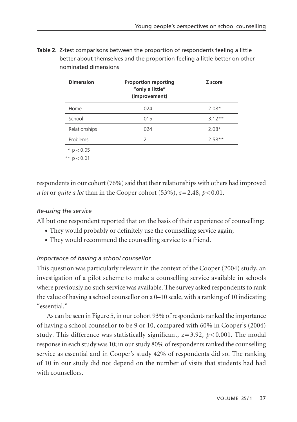| <b>Dimension</b> | <b>Proportion reporting</b><br>"only a little"<br>(improvement) | Z score  |
|------------------|-----------------------------------------------------------------|----------|
| Home             | .024                                                            | $2.08*$  |
| School           | .015                                                            | $3.12**$ |
| Relationships    | .024                                                            | $2.08*$  |
| Problems         | .2                                                              | $2.58**$ |

**Table 2.** Z-test comparisons between the proportion of respondents feeling a little better about themselves and the proportion feeling a little better on other nominated dimensions

 $*$  p < 0.05

\*\*  $p < 0.01$ 

respondents in our cohort (76%) said that their relationships with others had improved *a lot* or *quite a lot* than in the Cooper cohort (53%),  $z=2.48$ ,  $p<0.01$ .

## *Re-using the service*

All but one respondent reported that on the basis of their experience of counselling:

- They would probably or definitely use the counselling service again;
- They would recommend the counselling service to a friend.

# *Importance of having a school counsellor*

This question was particularly relevant in the context of the Cooper (2004) study, an investigation of a pilot scheme to make a counselling service available in schools where previously no such service was available. The survey asked respondents to rank the value of having a school counsellor on a 0–10 scale, with a ranking of 10 indicating "essential."

As can be seen in Figure 5, in our cohort 93% of respondents ranked the importance of having a school counsellor to be 9 or 10, compared with 60% in Cooper's (2004) study. This difference was statistically significant, *z*= 3.92, *p*< 0.001. The modal response in each study was 10; in our study 80% of respondents ranked the counselling service as essential and in Cooper's study 42% of respondents did so. The ranking of 10 in our study did not depend on the number of visits that students had had with counsellors.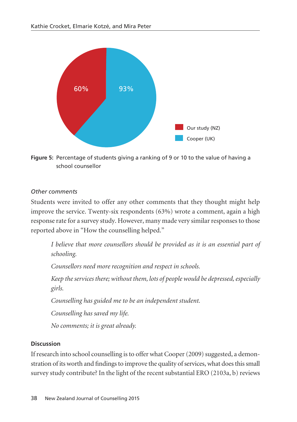

**Figure 5:** Percentage of students giving a ranking of 9 or 10 to the value of having a school counsellor

#### *Other comments*

Students were invited to offer any other comments that they thought might help improve the service. Twenty-six respondents (63%) wrote a comment, again a high response rate for a survey study. However, many made very similar responses to those reported above in "How the counselling helped."

*I believe that more counsellors should be provided as it is an essential part of schooling.*

*Counsellors need more recognition and respect in schools.* 

*Keep the services there; without them, lots of people would be depressed, especially girls.*

*Counselling has guided me to be an independent student.* 

*Counselling has saved my life.*

*No comments; it is great already.*

## **Discussion**

If research into school counselling is to offer what Cooper (2009) suggested, a demonstration of its worth and findings to improve the quality of services, what does this small survey study contribute? In the light of the recent substantial ERO (2103a, b) reviews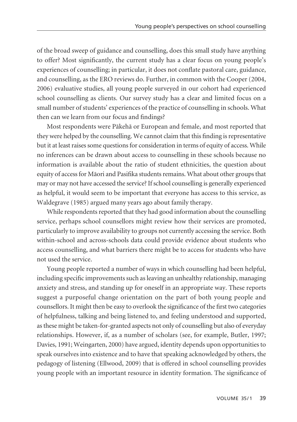of the broad sweep of guidance and counselling, does this small study have anything to offer? Most significantly, the current study has a clear focus on young people's experiences of counselling; in particular, it does not conflate pastoral care, guidance, and counselling, as the ERO reviews do. Further, in common with the Cooper (2004, 2006) evaluative studies, all young people surveyed in our cohort had experienced school counselling as clients. Our survey study has a clear and limited focus on a small number of students' experiences of the practice of counselling in schools. What then can we learn from our focus and findings?

Most respondents were Päkehä or European and female, and most reported that they were helped by the counselling. We cannot claim that this finding is representative but it at least raises some questions for consideration in terms of equity of access. While no inferences can be drawn about access to counselling in these schools because no information is available about the ratio of student ethnicities, the question about equity of access for Mäori and Pasifika students remains. What about other groups that may or may not have accessed the service? If school counselling is generally experienced as helpful, it would seem to be important that everyone has access to this service, as Waldegrave (1985) argued many years ago about family therapy.

While respondents reported that they had good information about the counselling service, perhaps school counsellors might review how their services are promoted, particularly to improve availability to groups not currently accessing the service. Both within-school and across-schools data could provide evidence about students who access counselling, and what barriers there might be to access for students who have not used the service.

Young people reported a number of ways in which counselling had been helpful, including specific improvements such as leaving an unhealthy relationship, managing anxiety and stress, and standing up for oneself in an appropriate way. These reports suggest a purposeful change orientation on the part of both young people and counsellors. It might then be easy to overlook the significance of the first two categories of helpfulness, talking and being listened to, and feeling understood and supported, as these might be taken-for-granted aspects not only of counselling but also of everyday relationships. However, if, as a number of scholars (see, for example, Butler, 1997; Davies, 1991; Weingarten, 2000) have argued, identity depends upon opportunities to speak ourselves into existence and to have that speaking acknowledged by others, the pedagogy of listening (Ellwood, 2009) that is offered in school counselling provides young people with an important resource in identity formation. The significance of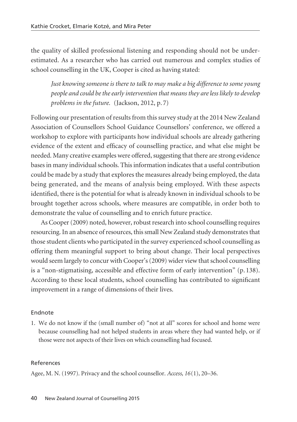the quality of skilled professional listening and responding should not be under estimated. As a researcher who has carried out numerous and complex studies of school counselling in the UK, Cooper is cited as having stated:

*Just knowing someone is there to talk to may make a big difference to some young people and could be the early intervention that means they are less likely to develop problems in the future.* (Jackson, 2012, p. 7)

Following our presentation of results from this survey study at the 2014 New Zealand Association of Counsellors School Guidance Counsellors' conference, we offered a workshop to explore with participants how individual schools are already gathering evidence of the extent and efficacy of counselling practice, and what else might be needed. Many creative examples were offered, suggesting that there are strong evidence bases in many individual schools. This information indicates that a useful contribution could be made by a study that explores the measures already being employed, the data being generated, and the means of analysis being employed. With these aspects identified, there is the potential for what is already known in individual schools to be brought together across schools, where measures are compatible, in order both to demonstrate the value of counselling and to enrich future practice.

As Cooper (2009) noted, however, robust research into school counselling requires resourcing. In an absence of resources, this small New Zealand study demonstrates that those student clients who participated in the survey experienced school counselling as offering them meaningful support to bring about change. Their local perspectives would seem largely to concur with Cooper's (2009) wider view that school counselling is a "non-stigmatising, accessible and effective form of early intervention" (p. 138). According to these local students, school counselling has contributed to significant improvement in a range of dimensions of their lives.

#### Endnote

1. We do not know if the (small number of) "not at all" scores for school and home were because counselling had not helped students in areas where they had wanted help, or if those were not aspects of their lives on which counselling had focused.

#### References

Agee, M. N. (1997). Privacy and the school counsellor. *Access, 16*(1), 20–36.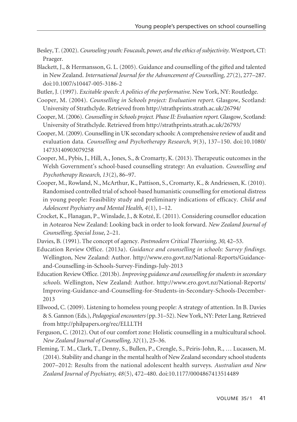- Besley, T. (2002). *Counseling youth: Foucault, power, and the ethics of subjectivity*. Westport, CT: Praeger.
- Blackett, J., & Hermansson, G. L. (2005). Guidance and counselling of the gifted and talented in New Zealand. *International Journal for the Advancement of Counselling, 27*(2), 277–287. doi:10.1007/s10447-005-3186-2
- Butler, J. (1997). *Excitable speech: A politics of the performative*. New York, NY: Routledge.
- Cooper, M. (2004). *Counselling in Schools project: Evaluation report*. Glasgow, Scotland: University of Strathclyde. Retrieved from http://strathprints.strath.ac.uk/26794/
- Cooper, M. (2006). *Counselling in Schools project. Phase II: Evaluation report*. Glasgow, Scotland: University of Strathclyde. Retrieved from http://strathprints.strath.ac.uk/26793/
- Cooper, M. (2009). Counselling in UK secondary schools: A comprehensive review of audit and evaluation data. *Counselling and Psychotherapy Research, 9*(3), 137–150. doi:10.1080/ 14733140903079258
- Cooper, M., Pybis, J., Hill, A., Jones, S., & Cromarty, K. (2013). Therapeutic outcomes in the Welsh Government's school-based counselling strategy: An evaluation. *Counselling and Psychotherapy Research, 13*(2), 86–97.
- Cooper, M., Rowland, N., McArthur, K., Pattison, S., Cromarty, K., & Andriessen, K. (2010). Randomised controlled trial of school-based humanistic counselling for emotional distress in young people: Feasibility study and preliminary indications of efficacy. *Child and Adolescent Psychiatry and Mental Health, 4*(1), 1–12.
- Crocket, K., Flanagan, P., Winslade, J., & Kotzé, E. (2011). Considering counsellor education in Aotearoa New Zealand: Looking back in order to look forward. *New Zealand Journal of Counselling, Special Issue*, 2–21.
- Davies, B. (1991). The concept of agency. *Postmodern Critical Theorising, 30*, 42–53.
- Education Review Office. (2013a). *Guidance and counselling in schools: Survey findings.* Wellington, New Zealand: Author. http://www.ero.govt.nz/National-Reports/Guidanceand-Counselling-in-Schools-Survey-Findings-July-2013
- Education Review Office. (2013b). *Improving guidance and counselling for students in secondary schools.* Wellington, New Zealand: Author. http://www.ero.govt.nz/National-Reports/ Improving-Guidance-and-Counselling-for-Students-in-Secondary-Schools-December-2013
- Ellwood, C. (2009). Listening to homeless young people: A strategy of attention. In B. Davies & S. Gannon (Eds.), *Pedagogical encounters*(pp.31–52). New York, NY: Peter Lang. Retrieved from http://philpapers.org/rec/ELLLTH
- Ferguson, C. (2012). Out of our comfort zone: Holistic counselling in a multicultural school. *New Zealand Journal of Counselling, 32*(1), 25–36.
- Fleming, T. M., Clark, T., Denny, S., Bullen, P., Crengle, S., Peiris-John, R., … Lucassen, M. (2014). Stability and change in the mental health of New Zealand secondary school students 2007–2012: Results from the national adolescent health surveys. *Australian and New Zealand Journal of Psychiatry, 48*(5), 472–480. doi:10.1177/0004867413514489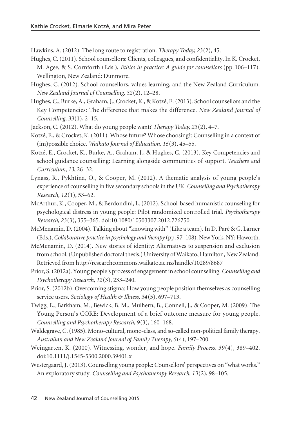Hawkins, A. (2012). The long route to registration. *Therapy Today, 23*(2), 45.

- Hughes, C. (2011). School counsellors: Clients, colleagues, and confidentiality. In K. Crocket, M. Agee, & S. Cornforth (Eds.), *Ethics in practice: A guide for counsellors* (pp. 106–117). Wellington, New Zealand: Dunmore.
- Hughes, C. (2012). School counsellors, values learning, and the New Zealand Curriculum. *New Zealand Journal of Counselling, 32*(2), 12–28.
- Hughes, C., Burke, A., Graham, J., Crocket, K., & Kotzé, E. (2013). School counsellors and the Key Competencies: The difference that makes the difference. *New Zealand Journal of Counselling, 33*(1), 2–15.
- Jackson, C. (2012). What do young people want? *Therapy Today, 23*(2), 4–7.
- Kotzé, E., & Crocket, K. (2011). Whose future? Whose choosing?: Counselling in a context of (im)possible choice. *Waikato Journal of Education, 16*(3), 45–55.
- Kotzé, E., Crocket, K., Burke, A., Graham, J., & Hughes, C. (2013). Key Competencies and school guidance counselling: Learning alongside communities of support. *Teachers and Curriculum, 13*, 26–32.
- Lynass, R., Pykhtina, O., & Cooper, M. (2012). A thematic analysis of young people's experience of counselling in five secondary schools in the UK. *Counselling and Psychotherapy Research, 12*(1), 53–62.
- McArthur, K., Cooper, M., & Berdondini, L. (2012). School-based humanistic counseling for psychological distress in young people: Pilot randomized controlled trial. *Psychotherapy Research, 23*(3), 355–365. doi:10.1080/10503307.2012.726750
- McMenamin, D. (2004). Talking about "knowing with" (Like a team). In D. Paré & G. Larner (Eds.), *Collaborative practice in psychology and therapy* (pp.97–108). New York, NY: Haworth.
- McMenamin, D. (2014). New stories of identity: Alternatives to suspension and exclusion from school. (Unpublished doctoral thesis.) University of Waikato, Hamilton, New Zealand. Retrieved from http://researchcommons.waikato.ac.nz/handle/10289/8687
- Prior, S. (2012a). Young people's process of engagement in school counselling. *Counselling and Psychotherapy Research, 12*(3), 233–240.
- Prior, S. (2012b). Overcoming stigma: How young people position themselves as counselling service users. *Sociology of Health & Illness, 34*(5), 697–713.
- Twigg, E., Barkham, M., Bewick, B. M., Mulhern, B., Connell, J., & Cooper, M. (2009). The Young Person's CORE: Development of a brief outcome measure for young people. *Counselling and Psychotherapy Research, 9*(3), 160–168.
- Waldegrave, C. (1985). Mono-cultural, mono-class, and so-called non-political family therapy. *Australian and New Zealand Journal of Family Therapy, 6*(4), 197–200.
- Weingarten, K. (2000). Witnessing, wonder, and hope. *Family Process, 39*(4), 389–402. doi:10.1111/j.1545-5300.2000.39401.x
- Westergaard, J. (2013). Counselling young people: Counsellors' perspectives on "what works." An exploratory study. *Counselling and Psychotherapy Research, 13*(2), 98–105.